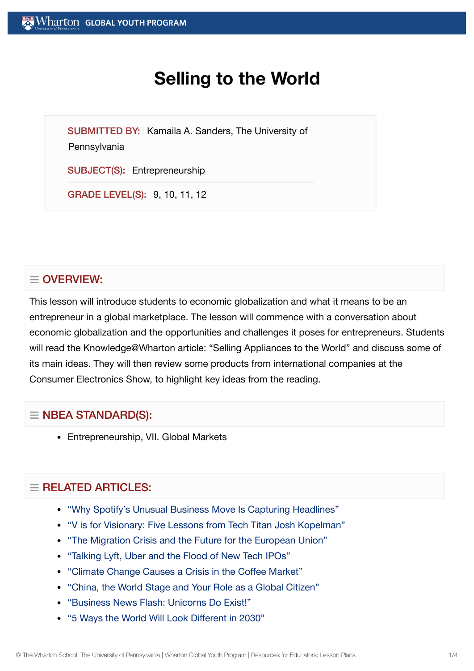# **Selling to the World**

SUBMITTED BY: Kamaila A. Sanders, The University of

**Pennsylvania** 

SUBJECT(S): Entrepreneurship

GRADE LEVEL(S): 9, 10, 11, 12

## $\equiv$  OVERVIEW:

This lesson will introduce students to economic globalization and what it means to be an entrepreneur in a global marketplace. The lesson will commence with a conversation about economic globalization and the opportunities and challenges it poses for entrepreneurs. Students will read the Knowledge@Wharton article: "Selling Appliances to the World" and discuss some of its main ideas. They will then review some products from international companies at the Consumer Electronics Show, to highlight key ideas from the reading.

## $\equiv$  NBEA STANDARD(S):

Entrepreneurship, VII. Global Markets

## $=$  RELATED ARTICLES:

- ["Why Spotify's Unusual](https://globalyouth.wharton.upenn.edu/articles/spotifys-unusual-business-move-capturing-headlines/) Business Move Is Capturing Headlines"
- "V is for Visionary: Five [Lessons from](https://globalyouth.wharton.upenn.edu/articles/v-is-for-visionary-five-lessons-from-tech-titan-josh-kopelman/) Tech Titan Josh Kopelman"
- "The Migration [Crisis and](https://globalyouth.wharton.upenn.edu/articles/migration-crisis-future-european-union/) the Future for the European Union"
- ["Talking](https://globalyouth.wharton.upenn.edu/articles/tech-ipos-worth-investment/) Lyft, Uber and the Flood of New Tech IPOs"
- "Climate Change [Causes a](https://globalyouth.wharton.upenn.edu/articles/climate-change-causes-crisis-coffee-market/) Crisis in the Coffee Market"
- "China, the World Stage and Your Role as a Global [Citizen"](https://globalyouth.wharton.upenn.edu/articles/china-the-world-stage-and-your-role-as-a-global-citizen/)
- ["Business News Flash:](https://globalyouth.wharton.upenn.edu/articles/business-news-flash-unicorns-exist/) Unicorns Do Exist!"
- "5 [Ways the](https://globalyouth.wharton.upenn.edu/articles/will-world-look-different-2030/) World Will Look Different in 2030"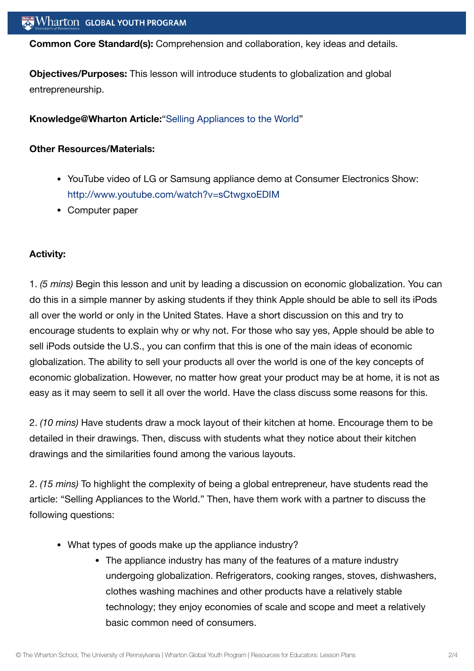**Common Core Standard(s):** Comprehension and collaboration, key ideas and details.

**Objectives/Purposes:** This lesson will introduce students to globalization and global entrepreneurship.

#### **Knowledge@Wharton Article:**"Selling [Appliances to](http://knowledge.wharton.upenn.edu/article.cfm?articleid=39) the World"

#### **Other Resources/Materials:**

- YouTube video of LG or Samsung appliance demo at Consumer Electronics Show: <http://www.youtube.com/watch?v=sCtwgxoEDIM>
- Computer paper

#### **Activity:**

1. *(5 mins)* Begin this lesson and unit by leading a discussion on economic globalization. You can do this in a simple manner by asking students if they think Apple should be able to sell its iPods all over the world or only in the United States. Have a short discussion on this and try to encourage students to explain why or why not. For those who say yes, Apple should be able to sell iPods outside the U.S., you can confirm that this is one of the main ideas of economic globalization. The ability to sell your products all over the world is one of the key concepts of economic globalization. However, no matter how great your product may be at home, it is not as easy as it may seem to sell it all over the world. Have the class discuss some reasons for this.

2. *(10 mins)* Have students draw a mock layout of their kitchen at home. Encourage them to be detailed in their drawings. Then, discuss with students what they notice about their kitchen drawings and the similarities found among the various layouts.

2. *(15 mins)* To highlight the complexity of being a global entrepreneur, have students read the article: "Selling Appliances to the World." Then, have them work with a partner to discuss the following questions:

- What types of goods make up the appliance industry?
	- The appliance industry has many of the features of a mature industry undergoing globalization. Refrigerators, cooking ranges, stoves, dishwashers, clothes washing machines and other products have a relatively stable technology; they enjoy economies of scale and scope and meet a relatively basic common need of consumers.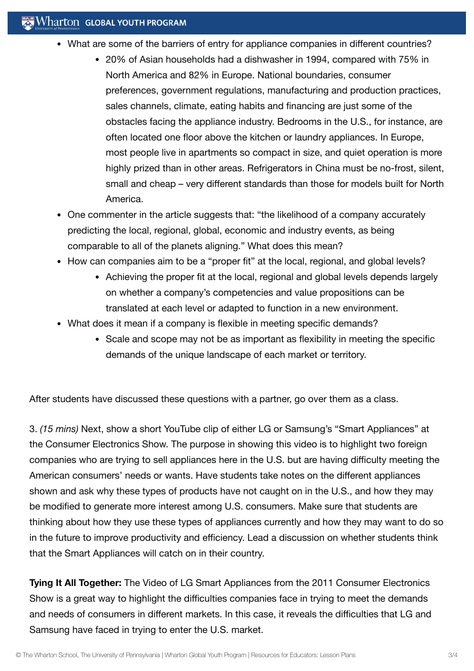- What are some of the barriers of entry for appliance companies in different countries?
	- 20% of Asian households had a dishwasher in 1994, compared with 75% in North America and 82% in Europe. National boundaries, consumer preferences, government regulations, manufacturing and production practices, sales channels, climate, eating habits and financing are just some of the obstacles facing the appliance industry. Bedrooms in the U.S., for instance, are often located one floor above the kitchen or laundry appliances. In Europe, most people live in apartments so compact in size, and quiet operation is more highly prized than in other areas. Refrigerators in China must be no-frost, silent, small and cheap – very different standards than those for models built for North America.
- One commenter in the article suggests that: "the likelihood of a company accurately predicting the local, regional, global, economic and industry events, as being comparable to all of the planets aligning." What does this mean?
- How can companies aim to be a "proper fit" at the local, regional, and global levels?
	- Achieving the proper fit at the local, regional and global levels depends largely on whether a company's competencies and value propositions can be translated at each level or adapted to function in a new environment.
- What does it mean if a company is flexible in meeting specific demands?
	- Scale and scope may not be as important as flexibility in meeting the specific demands of the unique landscape of each market or territory.

After students have discussed these questions with a partner, go over them as a class.

3. *(15 mins)* Next, show a short YouTube clip of either LG or Samsung's "Smart Appliances" at the Consumer Electronics Show. The purpose in showing this video is to highlight two foreign companies who are trying to sell appliances here in the U.S. but are having difficulty meeting the American consumers' needs or wants. Have students take notes on the different appliances shown and ask why these types of products have not caught on in the U.S., and how they may be modified to generate more interest among U.S. consumers. Make sure that students are thinking about how they use these types of appliances currently and how they may want to do so in the future to improve productivity and efficiency. Lead a discussion on whether students think that the Smart Appliances will catch on in their country.

**Tying It All Together:** The Video of LG Smart Appliances from the 2011 Consumer Electronics Show is a great way to highlight the difficulties companies face in trying to meet the demands and needs of consumers in different markets. In this case, it reveals the difficulties that LG and Samsung have faced in trying to enter the U.S. market.